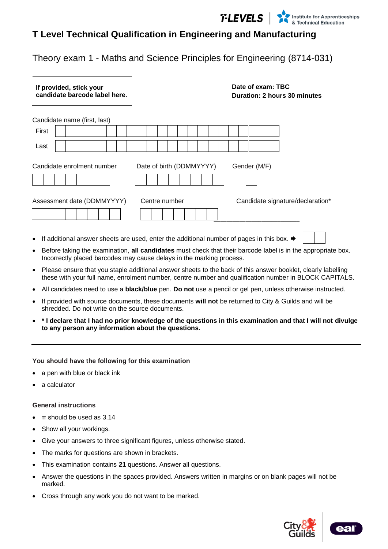

### **T Level Technical Qualification in Engineering and Manufacturing**

Theory exam 1 - Maths and Science Principles for Engineering (8714-031)

| If provided, stick your<br>candidate barcode label here. |                          | Date of exam: TBC<br>Duration: 2 hours 30 minutes |
|----------------------------------------------------------|--------------------------|---------------------------------------------------|
| Candidate name (first, last)                             |                          |                                                   |
| First                                                    |                          |                                                   |
| Last                                                     |                          |                                                   |
| Candidate enrolment number                               | Date of birth (DDMMYYYY) | Gender (M/F)                                      |
| Assessment date (DDMMYYYY)                               | Centre number            | Candidate signature/declaration*                  |
|                                                          |                          |                                                   |

- If additional answer sheets are used, enter the additional number of pages in this box.
- Before taking the examination, **all candidates** must check that their barcode label is in the appropriate box. Incorrectly placed barcodes may cause delays in the marking process.
- Please ensure that you staple additional answer sheets to the back of this answer booklet, clearly labelling these with your full name, enrolment number, centre number and qualification number in BLOCK CAPITALS.
- All candidates need to use a **black/blue** pen. **Do not** use a pencil or gel pen, unless otherwise instructed.
- If provided with source documents, these documents **will not** be returned to City & Guilds and will be shredded. Do not write on the source documents.
- **\* I declare that I had no prior knowledge of the questions in this examination and that I will not divulge to any person any information about the questions.**

#### **You should have the following for this examination**

- a pen with blue or black ink
- a calculator

#### **General instructions**

- $\pi$  should be used as 3.14
- Show all your workings.
- Give your answers to three significant figures, unless otherwise stated.
- The marks for questions are shown in brackets.
- This examination contains **21** questions. Answer all questions.
- Answer the questions in the spaces provided. Answers written in margins or on blank pages will not be marked.
- Cross through any work you do not want to be marked.



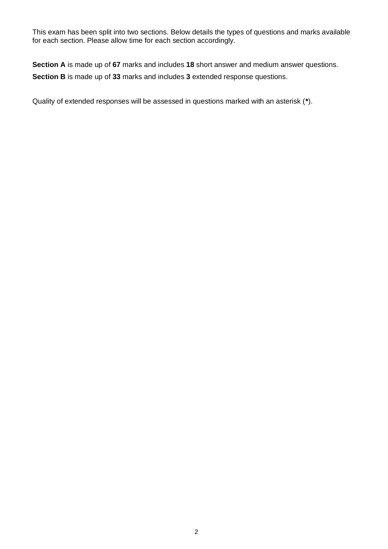This exam has been split into two sections. Below details the types of questions and marks available for each section. Please allow time for each section accordingly.

**Section A** is made up of **67** marks and includes **18** short answer and medium answer questions. **Section B** is made up of **33** marks and includes **3** extended response questions.

Quality of extended responses will be assessed in questions marked with an asterisk (**\***).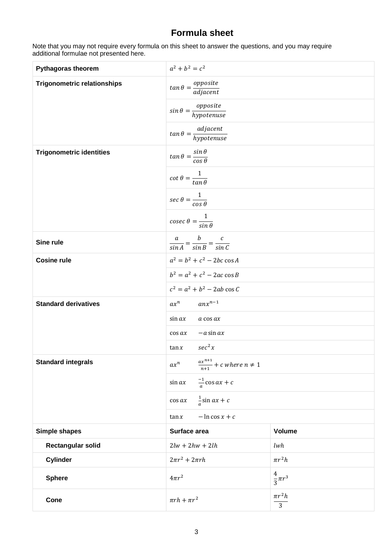### **Formula sheet**

Note that you may not require every formula on this sheet to answer the questions, and you may require additional formulae not presented here.

| <b>Pythagoras theorem</b>          | $a^2 + b^2 = c^2$                                        |                               |  |
|------------------------------------|----------------------------------------------------------|-------------------------------|--|
| <b>Trigonometric relationships</b> | $tan \theta = \frac{opposite}{adjacent}$                 |                               |  |
|                                    | $sin \theta = \frac{opposite}{hypotenuse}$               |                               |  |
|                                    | $tan \theta = \frac{adjacent}{hypotenuse}$               |                               |  |
| <b>Trigonometric identities</b>    | $\tan\theta = \frac{\sin\theta}{\cos\theta}$             |                               |  |
|                                    | $\cot \theta = \frac{1}{\tan \theta}$                    |                               |  |
|                                    | $\sec \theta = \frac{1}{\cos \theta}$                    |                               |  |
|                                    | $\csc \theta = \frac{1}{\sin \theta}$                    |                               |  |
| Sine rule                          | $\frac{a}{\sin A} = \frac{b}{\sin B} = \frac{c}{\sin C}$ |                               |  |
| <b>Cosine rule</b>                 | $a^2 = b^2 + c^2 - 2bc \cos A$                           |                               |  |
|                                    | $b^2 = a^2 + c^2 - 2ac \cos B$                           |                               |  |
|                                    | $c^2 = a^2 + b^2 - 2ab \cos C$                           |                               |  |
| <b>Standard derivatives</b>        | $ax^n$<br>$anx^{n-1}$                                    |                               |  |
|                                    | $\sin ax$<br>a cos ax                                    |                               |  |
|                                    | $-a$ sin $ax$<br>$\cos ax$                               |                               |  |
|                                    | $sec^2 x$<br>$\tan x$                                    |                               |  |
| <b>Standard integrals</b>          | $\frac{ax^{n+1}}{n+1} + c$ where $n \neq 1$<br>$ax^n$    |                               |  |
|                                    | $\frac{-1}{a}$ cos ax + c<br>$\sin ax$                   |                               |  |
|                                    | $\frac{1}{a}$ sin ax + c<br>$\cos ax$                    |                               |  |
|                                    | $-\ln \cos x + c$<br>$\tan x$                            |                               |  |
| <b>Simple shapes</b>               | Surface area                                             | Volume                        |  |
| <b>Rectangular solid</b>           | $2lw + 2hw + 2lh$                                        | lwh                           |  |
| <b>Cylinder</b>                    | $2\pi r^2 + 2\pi rh$                                     | $\pi r^2 h$                   |  |
| <b>Sphere</b>                      | $4\pi r^2$                                               | $\frac{4}{3}\pi r^3$          |  |
| <b>Cone</b>                        | $\pi rh + \pi r^2$                                       | $\pi r^2 h$<br>$\overline{3}$ |  |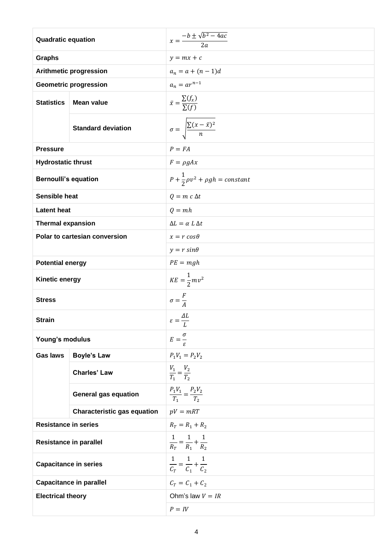| <b>Quadratic equation</b>      |                                    | $x = \frac{-b \pm \sqrt{b^2 - 4ac}}{2a}$         |
|--------------------------------|------------------------------------|--------------------------------------------------|
| <b>Graphs</b>                  |                                    | $y = mx + c$                                     |
|                                | <b>Arithmetic progression</b>      | $a_n = a + (n - 1)d$                             |
|                                | <b>Geometric progression</b>       | $a_n = ar^{n-1}$                                 |
| <b>Statistics</b>              | <b>Mean value</b>                  | $\bar{x} = \frac{\sum (f_x)}{\sum (f)}$          |
|                                | <b>Standard deviation</b>          | $\sigma = \sqrt{\frac{\sum (x - \bar{x})^2}{n}}$ |
| <b>Pressure</b>                |                                    | $P = FA$                                         |
| <b>Hydrostatic thrust</b>      |                                    | $F = \rho g A x$                                 |
| <b>Bernoulli's equation</b>    |                                    | $P+\frac{1}{2}\rho v^2+\rho gh=constant$         |
| <b>Sensible heat</b>           |                                    | $Q = m c \Delta t$                               |
| <b>Latent heat</b>             |                                    | $Q = mh$                                         |
| <b>Thermal expansion</b>       |                                    | $\Delta L = \alpha L \Delta t$                   |
|                                | Polar to cartesian conversion      | $x = r \cos \theta$                              |
|                                |                                    | $y = r \sin \theta$                              |
| <b>Potential energy</b>        |                                    | $PE = mgh$                                       |
| <b>Kinetic energy</b>          |                                    | $KE = \frac{1}{2}mv^2$                           |
| <b>Stress</b>                  |                                    | $\sigma = \frac{F}{A}$                           |
| <b>Strain</b>                  |                                    | $\varepsilon = \frac{\Delta L}{\Delta t}$<br>L   |
| Young's modulus                |                                    | $E=\frac{\sigma}{\tau}$                          |
| <b>Gas laws</b>                | <b>Boyle's Law</b>                 | $P_1V_1 = P_2V_2$                                |
|                                | <b>Charles' Law</b>                | $\frac{V_1}{T_1} = \frac{V_2}{T_2}$              |
|                                | <b>General gas equation</b>        | $\frac{P_1V_1}{T_1} = \frac{P_2V_2}{T_2}$        |
|                                | <b>Characteristic gas equation</b> | $pV = mRT$                                       |
| <b>Resistance in series</b>    |                                    | $R_T = R_1 + R_2$                                |
| <b>Resistance in parallel</b>  |                                    | $\frac{1}{R_T} = \frac{1}{R_1} + \frac{1}{R_2}$  |
| <b>Capacitance in series</b>   |                                    | $\frac{1}{C_T} = \frac{1}{C_1} + \frac{1}{C_2}$  |
| <b>Capacitance in parallel</b> |                                    | $C_T = C_1 + C_2$                                |
| <b>Electrical theory</b>       |                                    | Ohm's law $V = IR$                               |
|                                |                                    | $P = IV$                                         |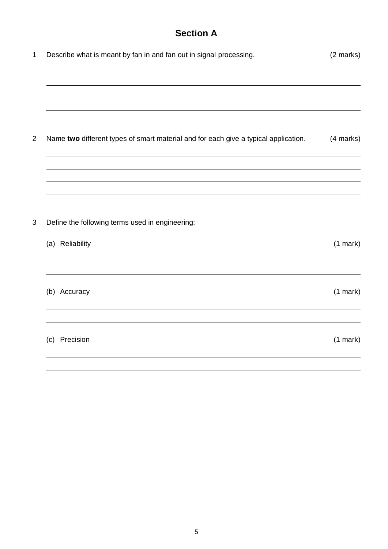# **Section A**

| $\mathbf{1}$   | Describe what is meant by fan in and fan out in signal processing.                  | (2 marks)     |
|----------------|-------------------------------------------------------------------------------------|---------------|
|                |                                                                                     |               |
|                |                                                                                     |               |
| $\overline{2}$ | Name two different types of smart material and for each give a typical application. | (4 marks)     |
|                |                                                                                     |               |
|                |                                                                                     |               |
| 3              | Define the following terms used in engineering:                                     |               |
|                | (a) Reliability                                                                     | $(1$ mark $)$ |
|                |                                                                                     |               |
|                | (b) Accuracy                                                                        | $(1$ mark $)$ |
|                | (c) Precision                                                                       | $(1$ mark $)$ |
|                |                                                                                     |               |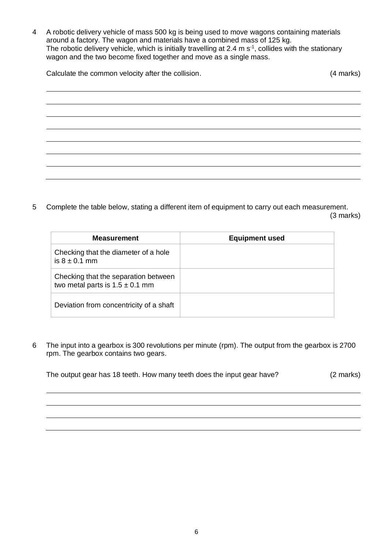4 A robotic delivery vehicle of mass 500 kg is being used to move wagons containing materials around a factory. The wagon and materials have a combined mass of 125 kg. The robotic delivery vehicle, which is initially travelling at 2.4 m  $s<sup>-1</sup>$ , collides with the stationary wagon and the two become fixed together and move as a single mass.

Calculate the common velocity after the collision. Calculate the common velocity after the collision.

5 Complete the table below, stating a different item of equipment to carry out each measurement. (3 marks)

| <b>Measurement</b>                                                          | <b>Equipment used</b> |
|-----------------------------------------------------------------------------|-----------------------|
| Checking that the diameter of a hole<br>is $8 \pm 0.1$ mm                   |                       |
| Checking that the separation between<br>two metal parts is $1.5 \pm 0.1$ mm |                       |
| Deviation from concentricity of a shaft                                     |                       |

6 The input into a gearbox is 300 revolutions per minute (rpm). The output from the gearbox is 2700 rpm. The gearbox contains two gears.

The output gear has 18 teeth. How many teeth does the input gear have? (2 marks)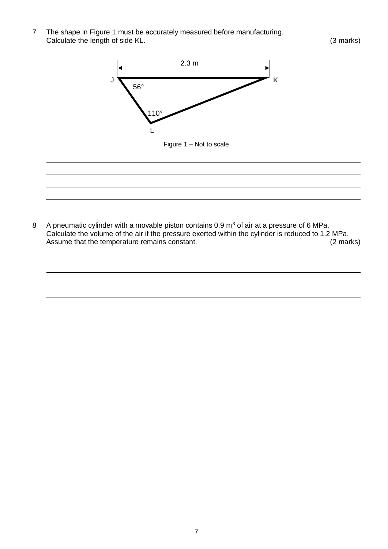7 The shape in Figure 1 must be accurately measured before manufacturing. Calculate the length of side KL. (3 marks)



8 A pneumatic cylinder with a movable piston contains  $0.9 \text{ m}^3$  of air at a pressure of 6 MPa. Calculate the volume of the air if the pressure exerted within the cylinder is reduced to 1.2 MPa. Assume that the temperature remains constant. (2 marks)

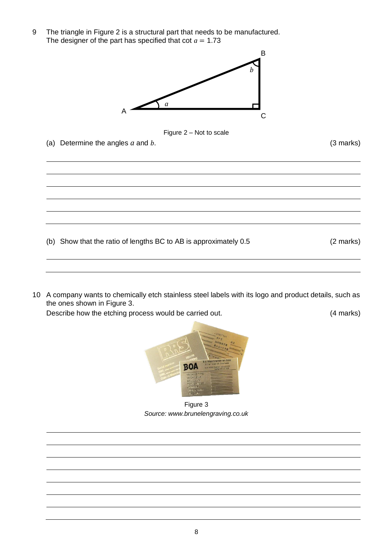9 The triangle in Figure 2 is a structural part that needs to be manufactured. The designer of the part has specified that  $\cot a = 1.73$ 





(a) Determine the angles *a* and *b*. (3 marks)

(b) Show that the ratio of lengths BC to AB is approximately 0.5 (2 marks)

10 A company wants to chemically etch stainless steel labels with its logo and product details, such as the ones shown in Figure 3.

Describe how the etching process would be carried out. (4 marks)



Figure 3 *Source: www.brunelengraving.co.uk*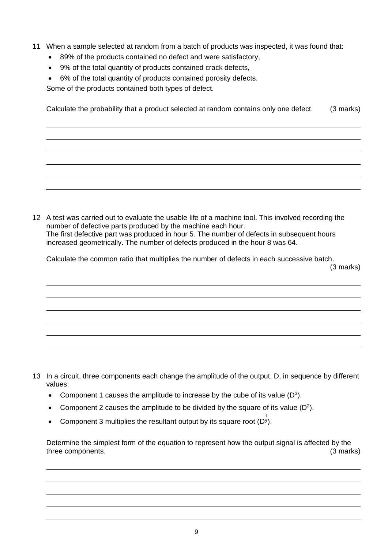- 11 When a sample selected at random from a batch of products was inspected, it was found that:
	- 89% of the products contained no defect and were satisfactory,
	- 9% of the total quantity of products contained crack defects,
	- 6% of the total quantity of products contained porosity defects.

Some of the products contained both types of defect.

Calculate the probability that a product selected at random contains only one defect. (3 marks)

12 A test was carried out to evaluate the usable life of a machine tool. This involved recording the number of defective parts produced by the machine each hour. The first defective part was produced in hour 5. The number of defects in subsequent hours increased geometrically. The number of defects produced in the hour 8 was 64.

Calculate the common ratio that multiplies the number of defects in each successive batch.

(3 marks)

- 13 In a circuit, three components each change the amplitude of the output, D, in sequence by different values:
	- Component 1 causes the amplitude to increase by the cube of its value  $(D^3)$ .
	- Component 2 causes the amplitude to be divided by the square of its value  $(D^2)$ .
	- Component 3 multiplies the resultant output by its square root  $(D^{\frac{1}{2}})$ .

Determine the simplest form of the equation to represent how the output signal is affected by the three components. (3 marks)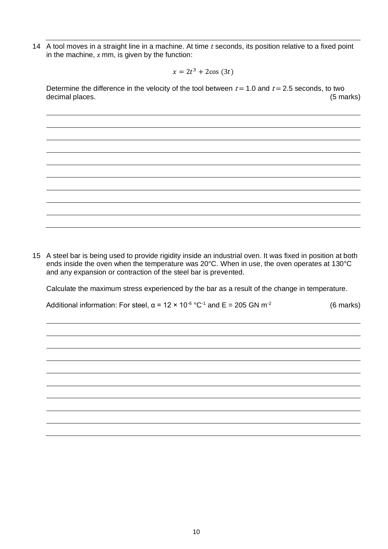14 A tool moves in a straight line in a machine. At time *t* seconds, its position relative to a fixed point in the machine, *x* mm, is given by the function:

$$
x = 2t^3 + 2\cos(3t)
$$

Determine the difference in the velocity of the tool between  $t = 1.0$  and  $t = 2.5$  seconds, to two decimal places. (5 marks)

15 A steel bar is being used to provide rigidity inside an industrial oven. It was fixed in position at both ends inside the oven when the temperature was 20°C. When in use, the oven operates at 130°C and any expansion or contraction of the steel bar is prevented.

Calculate the maximum stress experienced by the bar as a result of the change in temperature.

Additional information: For steel,  $\alpha$  = 12 × 10<sup>-6</sup> °C<sup>-1</sup> and E = 205 GN m<sup>-2</sup> (6 marks)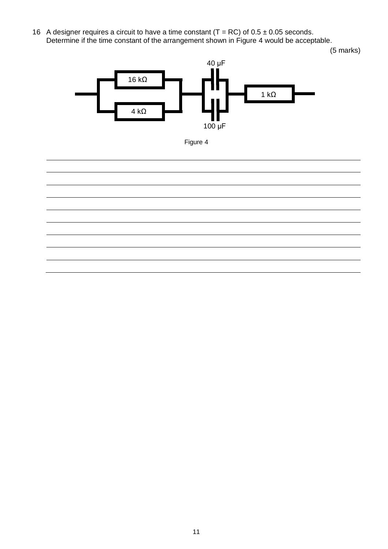16 A designer requires a circuit to have a time constant  $(T = RC)$  of  $0.5 \pm 0.05$  seconds. Determine if the time constant of the arrangement shown in Figure 4 would be acceptable.

(5 marks)





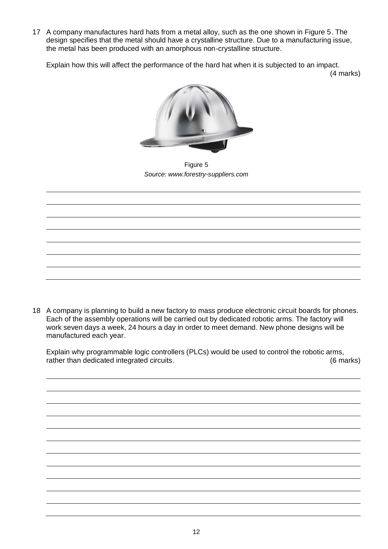17 A company manufactures hard hats from a metal alloy, such as the one shown in Figure 5. The design specifies that the metal should have a crystalline structure. Due to a manufacturing issue, the metal has been produced with an amorphous non-crystalline structure.

Explain how this will affect the performance of the hard hat when it is subjected to an impact.

(4 marks)



Figure 5 *Source: www.forestry-suppliers.com*

18 A company is planning to build a new factory to mass produce electronic circuit boards for phones. Each of the assembly operations will be carried out by dedicated robotic arms. The factory will work seven days a week, 24 hours a day in order to meet demand. New phone designs will be manufactured each year.

Explain why programmable logic controllers (PLCs) would be used to control the robotic arms, rather than dedicated integrated circuits. (6 marks)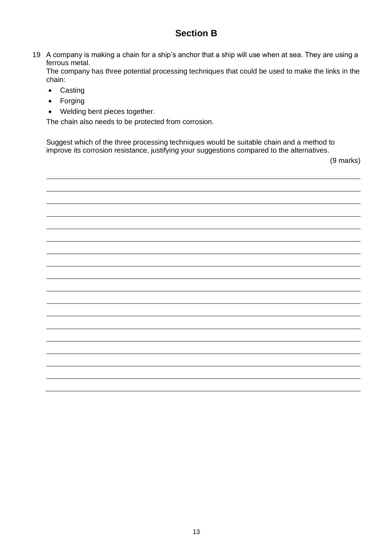## **Section B**

19 A company is making a chain for a ship's anchor that a ship will use when at sea. They are using a ferrous metal.

The company has three potential processing techniques that could be used to make the links in the chain:

- Casting
- Forging
- Welding bent pieces together.

The chain also needs to be protected from corrosion.

Suggest which of the three processing techniques would be suitable chain and a method to improve its corrosion resistance, justifying your suggestions compared to the alternatives.

(9 marks)

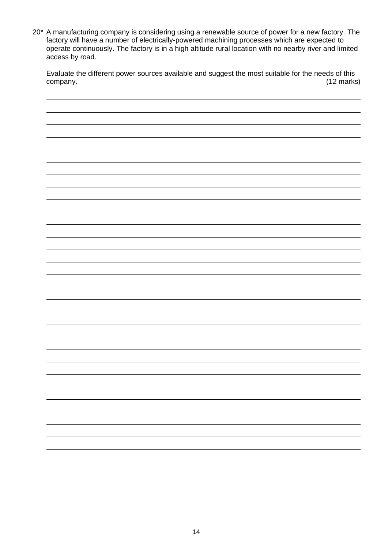20<sup>\*</sup> A manufacturing company is considering using a renewable source of power for a new factory. The factory will have a number of electrically-powered machining processes which are expected to operate continuously. The factory is in a high altitude rural location with no nearby river and limited access by road.

Evaluate the different power sources available and suggest the most suitable for the needs of this company. (12 marks)

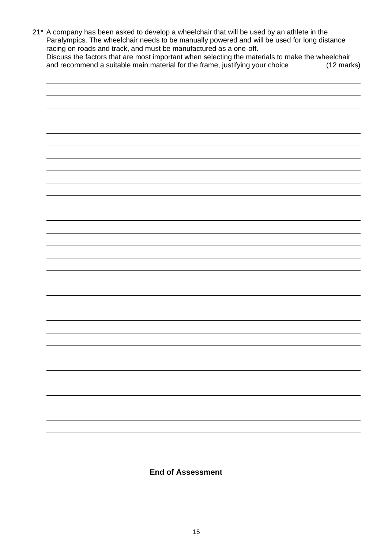21\* A company has been asked to develop a wheelchair that will be used by an athlete in the Paralympics. The wheelchair needs to be manually powered and will be used for long distance racing on roads and track, and must be manufactured as a one-off. Discuss the factors that are most important when selecting the materials to make the wheelchair and recommend a suitable main material for the frame, justifying your choice. (12 marks)



**End of Assessment**